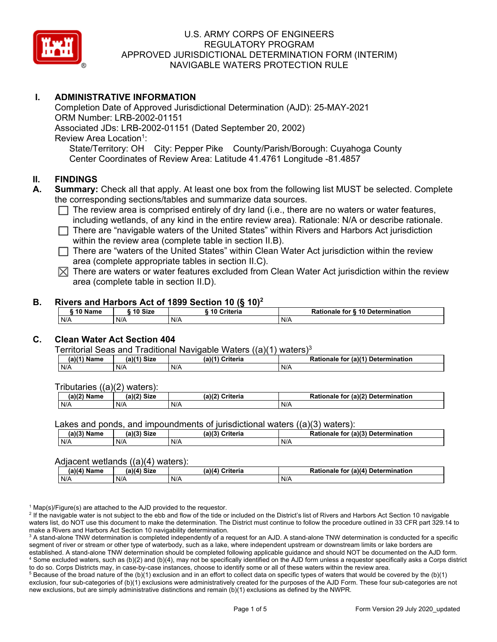

## **I. ADMINISTRATIVE INFORMATION**

Completion Date of Approved Jurisdictional Determination (AJD): 25-MAY-2021 ORM Number: LRB-2002-01151 Associated JDs: LRB-2002-01151 (Dated September 20, 2002) Review Area Location<sup>1</sup>: State/Territory: OH City: Pepper Pike County/Parish/Borough: Cuyahoga County Center Coordinates of Review Area: Latitude 41.4761 Longitude -81.4857

### **II. FINDINGS**

- **A. Summary:** Check all that apply. At least one box from the following list MUST be selected. Complete the corresponding sections/tables and summarize data sources.
	- $\Box$  The review area is comprised entirely of dry land (i.e., there are no waters or water features, including wetlands, of any kind in the entire review area). Rationale: N/A or describe rationale.
	- $\Box$  There are "navigable waters of the United States" within Rivers and Harbors Act jurisdiction within the review area (complete table in section II.B).
	- $\Box$  There are "waters of the United States" within Clean Water Act jurisdiction within the review area (complete appropriate tables in section II.C).
	- $\boxtimes$  There are waters or water features excluded from Clean Water Act jurisdiction within the review area (complete table in section II.D).

### **B. Rivers and Harbors Act of 1899 Section 10 (§ 10)2**

| 10 Size<br>10 Name |  | ----<br>10 Criteria | <b>Rationale for § 10 Determination</b> |  |  |
|--------------------|--|---------------------|-----------------------------------------|--|--|
| N/A<br>N/A         |  | N/A                 | N/A                                     |  |  |

## **C. Clean Water Act Section 404**

#### Territorial Seas and Traditional Navigable Waters ((a)(1) waters)3

| $(a)(1)$ Name | (a)(4)<br><b>Size</b> | (a)( <sup>4)</sup><br>Criteria | $\mathsf{u}$ r (a)(4).<br>Determination<br>Rationale<br>tor |
|---------------|-----------------------|--------------------------------|-------------------------------------------------------------|
| N/A           | N/A                   | N/A                            | N/A                                                         |

Tributaries ((a)(2) waters):

| (2)<br><b>Name</b> | (a)(2)<br><b>Size</b> | (a)(2)<br>$\sim$ $\sim$ $\sim$ $\sim$ $\sim$<br>unena | $r \ln(2)$<br><b>Determ</b><br>Dotion<br>nination<br>tor<br>.ne<br>не<br>.<br>. |
|--------------------|-----------------------|-------------------------------------------------------|---------------------------------------------------------------------------------|
| N/A                | N/A                   | N/A                                                   | N/A                                                                             |

Lakes and ponds, and impoundments of jurisdictional waters  $((a)(3)$  waters):

| (a)(3) Name | (a)(3) Size | $(a)$ $(2)$ | ا Criteria | Rationale<br>tor | $($ a)(3 $)$<br>Determination |
|-------------|-------------|-------------|------------|------------------|-------------------------------|
| $N/\ell$    | N/A         | N/F         |            | N/A              |                               |

### Adjacent wetlands ((a)(4) waters):

|                           | ----               | .               |                                                |  |
|---------------------------|--------------------|-----------------|------------------------------------------------|--|
| (a)(4) $^{\circ}$<br>Name | $(a)(4)$ Size      | (a)(4) Criteria | for (a)(4) Determination (<br><b>Rationale</b> |  |
| N/A                       | <b>AIIA</b><br>N/F | N/A             | N/A                                            |  |

 $^1$  Map(s)/Figure(s) are attached to the AJD provided to the requestor.<br><sup>2</sup> If the navigable water is not subject to the ebb and flow of the tide or

<sup>2</sup> If the navigable water is not subject to the ebb and flow of the tide or included on the District's list of Rivers and Harbors Act Section 10 navigable waters list, do NOT use this document to make the determination. The District must continue to follow the procedure outlined in 33 CFR part 329.14 to make a Rivers and Harbors Act Section 10 navigability determination.

 $^3$  A stand-alone TNW determination is completed independently of a request for an AJD. A stand-alone TNW determination is conducted for a specific segment of river or stream or other type of waterbody, such as a lake, where independent upstream or downstream limits or lake borders are established. A stand-alone TNW determination should be completed following applicable guidance and should NOT be documented on the AJD form. 4 Some excluded waters, such as (b)(2) and (b)(4), may not be specifically identified on the AJD form unless a requestor specifically asks a Corps district to do so. Corps Districts may, in case-by-case instances, choose to identify some or all of these waters within the review area. 5

<sup>5</sup> Because of the broad nature of the (b)(1) exclusion and in an effort to collect data on specific types of waters that would be covered by the (b)(1) exclusion, four sub-categories of (b)(1) exclusions were administratively created for the purposes of the AJD Form. These four sub-categories are not new exclusions, but are simply administrative distinctions and remain (b)(1) exclusions as defined by the NWPR.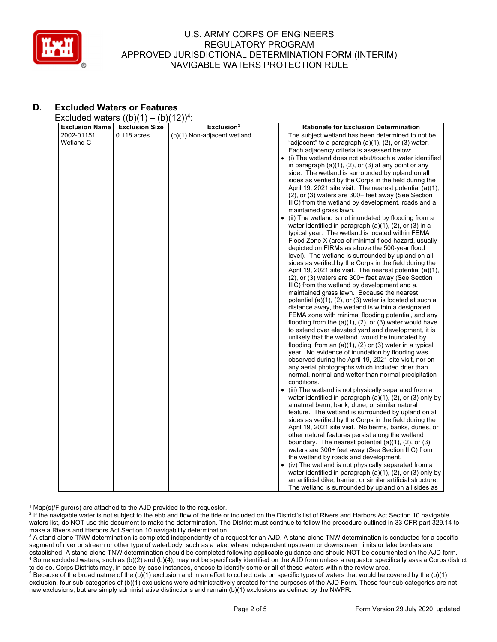

# **D. Excluded Waters or Features**

Excluded waters  $((b)(1) - (b)(12))^4$ :

| . .<br><b>Exclusion Name</b><br><b>Exclusion Size</b> | .,,<br>Exclusion <sup>5</sup> | <b>Rationale for Exclusion Determination</b>                                                                           |
|-------------------------------------------------------|-------------------------------|------------------------------------------------------------------------------------------------------------------------|
| 2002-01151<br>$0.118$ acres                           | (b)(1) Non-adjacent wetland   | The subject wetland has been determined to not be                                                                      |
| Wetland C                                             |                               | "adjacent" to a paragraph $(a)(1)$ , $(2)$ , or $(3)$ water.                                                           |
|                                                       |                               | Each adjacency criteria is assessed below:                                                                             |
|                                                       |                               | (i) The wetland does not abut/touch a water identified<br>$\bullet$                                                    |
|                                                       |                               | in paragraph $(a)(1)$ , $(2)$ , or $(3)$ at any point or any                                                           |
|                                                       |                               | side. The wetland is surrounded by upland on all                                                                       |
|                                                       |                               | sides as verified by the Corps in the field during the                                                                 |
|                                                       |                               | April 19, 2021 site visit. The nearest potential (a)(1),                                                               |
|                                                       |                               | (2), or (3) waters are 300+ feet away (See Section                                                                     |
|                                                       |                               | IIIC) from the wetland by development, roads and a                                                                     |
|                                                       |                               | maintained grass lawn.                                                                                                 |
|                                                       |                               |                                                                                                                        |
|                                                       |                               | (ii) The wetland is not inundated by flooding from a<br>water identified in paragraph $(a)(1)$ , $(2)$ , or $(3)$ in a |
|                                                       |                               | typical year. The wetland is located within FEMA                                                                       |
|                                                       |                               |                                                                                                                        |
|                                                       |                               | Flood Zone X (area of minimal flood hazard, usually<br>depicted on FIRMs as above the 500-year flood                   |
|                                                       |                               | level). The wetland is surrounded by upland on all                                                                     |
|                                                       |                               | sides as verified by the Corps in the field during the                                                                 |
|                                                       |                               | April 19, 2021 site visit. The nearest potential (a)(1),                                                               |
|                                                       |                               | (2), or (3) waters are 300+ feet away (See Section                                                                     |
|                                                       |                               | IIIC) from the wetland by development and a.                                                                           |
|                                                       |                               | maintained grass lawn. Because the nearest                                                                             |
|                                                       |                               | potential $(a)(1)$ , $(2)$ , or $(3)$ water is located at such a                                                       |
|                                                       |                               | distance away, the wetland is within a designated                                                                      |
|                                                       |                               | FEMA zone with minimal flooding potential, and any                                                                     |
|                                                       |                               | flooding from the $(a)(1)$ , $(2)$ , or $(3)$ water would have                                                         |
|                                                       |                               | to extend over elevated yard and development, it is                                                                    |
|                                                       |                               | unlikely that the wetland would be inundated by                                                                        |
|                                                       |                               | flooding from an $(a)(1)$ , $(2)$ or $(3)$ water in a typical                                                          |
|                                                       |                               | year. No evidence of inundation by flooding was                                                                        |
|                                                       |                               | observed during the April 19, 2021 site visit, nor on                                                                  |
|                                                       |                               | any aerial photographs which included drier than                                                                       |
|                                                       |                               | normal, normal and wetter than normal precipitation                                                                    |
|                                                       |                               | conditions.                                                                                                            |
|                                                       |                               | (iii) The wetland is not physically separated from a<br>$\bullet$                                                      |
|                                                       |                               | water identified in paragraph $(a)(1)$ , $(2)$ , or $(3)$ only by                                                      |
|                                                       |                               | a natural berm, bank, dune, or similar natural                                                                         |
|                                                       |                               | feature. The wetland is surrounded by upland on all                                                                    |
|                                                       |                               | sides as verified by the Corps in the field during the                                                                 |
|                                                       |                               | April 19, 2021 site visit. No berms, banks, dunes, or                                                                  |
|                                                       |                               | other natural features persist along the wetland                                                                       |
|                                                       |                               | boundary. The nearest potential $(a)(1)$ , $(2)$ , or $(3)$                                                            |
|                                                       |                               | waters are 300+ feet away (See Section IIIC) from                                                                      |
|                                                       |                               | the wetland by roads and development.                                                                                  |
|                                                       |                               | • (iv) The wetland is not physically separated from a                                                                  |
|                                                       |                               | water identified in paragraph $(a)(1)$ , $(2)$ , or $(3)$ only by                                                      |
|                                                       |                               | an artificial dike, barrier, or similar artificial structure.                                                          |
|                                                       |                               | The wetland is surrounded by upland on all sides as                                                                    |

 $^1$  Map(s)/Figure(s) are attached to the AJD provided to the requestor.<br><sup>2</sup> If the navigable water is not subject to the ebb and flow of the tide or

<sup>2</sup> If the navigable water is not subject to the ebb and flow of the tide or included on the District's list of Rivers and Harbors Act Section 10 navigable waters list, do NOT use this document to make the determination. The District must continue to follow the procedure outlined in 33 CFR part 329.14 to make a Rivers and Harbors Act Section 10 navigability determination.

 $^3$  A stand-alone TNW determination is completed independently of a request for an AJD. A stand-alone TNW determination is conducted for a specific segment of river or stream or other type of waterbody, such as a lake, where independent upstream or downstream limits or lake borders are established. A stand-alone TNW determination should be completed following applicable guidance and should NOT be documented on the AJD form. 4 <sup>4</sup> Some excluded waters, such as (b)(2) and (b)(4), may not be specifically identified on the AJD form unless a requestor specifically asks a Corps district to do so. Corps Districts may, in case-by-case instances, choose

to do so. Corps Districts may, in case-by-case instances, choose to identify some or all of these waters within the review area.<br><sup>5</sup> Because of the broad nature of the (b)(1) exclusion and in an effort to collect data on s exclusion, four sub-categories of (b)(1) exclusions were administratively created for the purposes of the AJD Form. These four sub-categories are not new exclusions, but are simply administrative distinctions and remain (b)(1) exclusions as defined by the NWPR.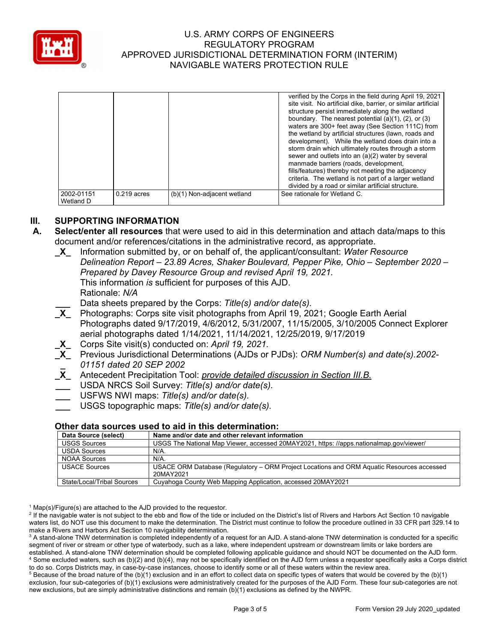

|            |               |                             | verified by the Corps in the field during April 19, 2021       |
|------------|---------------|-----------------------------|----------------------------------------------------------------|
|            |               |                             | site visit. No artificial dike, barrier, or similar artificial |
|            |               |                             |                                                                |
|            |               |                             | structure persist immediately along the wetland                |
|            |               |                             | boundary. The nearest potential $(a)(1)$ , $(2)$ , or $(3)$    |
|            |               |                             | waters are 300+ feet away (See Section 111C) from              |
|            |               |                             | the wetland by artificial structures (lawn, roads and          |
|            |               |                             | development). While the wetland does drain into a              |
|            |               |                             | storm drain which ultimately routes through a storm            |
|            |               |                             | sewer and outlets into an (a)(2) water by several              |
|            |               |                             | manmade barriers (roads, development,                          |
|            |               |                             | fills/features) thereby not meeting the adjacency              |
|            |               |                             |                                                                |
|            |               |                             | criteria. The wetland is not part of a larger wetland          |
|            |               |                             | divided by a road or similar artificial structure.             |
| 2002-01151 | $0.219$ acres | (b)(1) Non-adjacent wetland | See rationale for Wetland C.                                   |
| Wetland D  |               |                             |                                                                |

# **III. SUPPORTING INFORMATION**

- **A. Select/enter all resources** that were used to aid in this determination and attach data/maps to this document and/or references/citations in the administrative record, as appropriate.
	- **\_X\_** Information submitted by, or on behalf of, the applicant/consultant: *Water Resource Delineation Report – 23.89 Acres, Shaker Boulevard, Pepper Pike, Ohio – September 2020 – Prepared by Davey Resource Group and revised April 19, 2021.* This information *is* sufficient for purposes of this AJD. Rationale: *N/A*  **\_\_\_** Data sheets prepared by the Corps: *Title(s) and/or date(s).*
	- **\_X\_** Photographs: Corps site visit photographs from April 19, 2021; Google Earth Aerial Photographs dated 9/17/2019, 4/6/2012, 5/31/2007, 11/15/2005, 3/10/2005 Connect Explorer aerial photographs dated 1/14/2021, 11/14/2021, 12/25/2019, 9/17/2019
	- **\_X\_** Corps Site visit(s) conducted on: *April 19, 2021.*
	- **\_X\_** Previous Jurisdictional Determinations (AJDs or PJDs): *ORM Number(s) and date(s).2002-* **\_**  *01151 dated 20 SEP 2002*
	- **\_X\_** Antecedent Precipitation Tool: *provide detailed discussion in Section III.B.*
	- **\_\_\_** USDA NRCS Soil Survey: *Title(s) and/or date(s).*
	- **\_\_\_** USFWS NWI maps: *Title(s) and/or date(s).*
	- **\_\_\_** USGS topographic maps: *Title(s) and/or date(s).*

#### **Other data sources used to aid in this determination:**

| Data Source (select)       | Name and/or date and other relevant information                                           |
|----------------------------|-------------------------------------------------------------------------------------------|
| <b>USGS Sources</b>        | USGS The National Map Viewer, accessed 20MAY2021, https: //apps.nationalmap.gov/viewer/   |
| <b>USDA Sources</b>        | N/A.                                                                                      |
| <b>NOAA Sources</b>        | $N/A$ .                                                                                   |
| <b>USACE Sources</b>       | USACE ORM Database (Regulatory – ORM Project Locations and ORM Aguatic Resources accessed |
|                            | 20MAY2021                                                                                 |
| State/Local/Tribal Sources | Cuyahoga County Web Mapping Application, accessed 20MAY2021                               |

 $^1$  Map(s)/Figure(s) are attached to the AJD provided to the requestor.<br><sup>2</sup> If the navigable water is not subject to the ebb and flow of the tide or

<sup>2</sup> If the navigable water is not subject to the ebb and flow of the tide or included on the District's list of Rivers and Harbors Act Section 10 navigable waters list, do NOT use this document to make the determination. The District must continue to follow the procedure outlined in 33 CFR part 329.14 to make a Rivers and Harbors Act Section 10 navigability determination.

 $^3$  A stand-alone TNW determination is completed independently of a request for an AJD. A stand-alone TNW determination is conducted for a specific segment of river or stream or other type of waterbody, such as a lake, where independent upstream or downstream limits or lake borders are established. A stand-alone TNW determination should be completed following applicable guidance and should NOT be documented on the AJD form. 4 Some excluded waters, such as (b)(2) and (b)(4), may not be specifically identified on the AJD form unless a requestor specifically asks a Corps district to do so. Corps Districts may, in case-by-case instances, choose to identify some or all of these waters within the review area. 5

<sup>5</sup> Because of the broad nature of the (b)(1) exclusion and in an effort to collect data on specific types of waters that would be covered by the (b)(1) exclusion, four sub-categories of (b)(1) exclusions were administratively created for the purposes of the AJD Form. These four sub-categories are not new exclusions, but are simply administrative distinctions and remain (b)(1) exclusions as defined by the NWPR.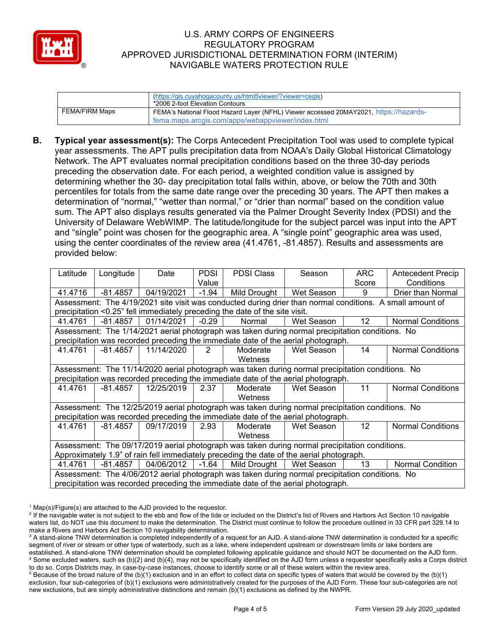

|                | (https://gis.cuyahogacounty.us/html5viewer/?viewer=cegis)<br>*2006 2-foot Elevation Contours |
|----------------|----------------------------------------------------------------------------------------------|
| FEMA/FIRM Maps | FEMA's National Flood Hazard Layer (NFHL) Viewer accessed 20MAY2021, https://hazards-        |
|                | fema.maps.arcgis.com/apps/webappyiewer/index.html                                            |

**B. Typical year assessment(s):** The Corps Antecedent Precipitation Tool was used to complete typical year assessments. The APT pulls precipitation data from NOAA's Daily Global Historical Climatology Network. The APT evaluates normal precipitation conditions based on the three 30-day periods preceding the observation date. For each period, a weighted condition value is assigned by determining whether the 30- day precipitation total falls within, above, or below the 70th and 30th percentiles for totals from the same date range over the preceding 30 years. The APT then makes a determination of "normal," "wetter than normal," or "drier than normal" based on the condition value sum. The APT also displays results generated via the Palmer Drought Severity Index (PDSI) and the University of Delaware WebWIMP. The latitude/longitude for the subject parcel was input into the APT and "single" point was chosen for the geographic area. A "single point" geographic area was used, using the center coordinates of the review area (41.4761, -81.4857). Results and assessments are provided below:

| Latitude                                                                                       | Longitude                                                                                                 | Date       | <b>PDSI</b> | <b>PDSI Class</b>                                                                                 | Season     | ARC.              | <b>Antecedent Precip</b> |  |  |  |
|------------------------------------------------------------------------------------------------|-----------------------------------------------------------------------------------------------------------|------------|-------------|---------------------------------------------------------------------------------------------------|------------|-------------------|--------------------------|--|--|--|
|                                                                                                |                                                                                                           |            | Value       |                                                                                                   |            | Score             | Conditions               |  |  |  |
| 41.4716                                                                                        | $-81.4857$                                                                                                | 04/19/2021 | $-1.94$     | Mild Drought                                                                                      | Wet Season | 9                 | Drier than Normal        |  |  |  |
|                                                                                                | Assessment: The 4/19/2021 site visit was conducted during drier than normal conditions. A small amount of |            |             |                                                                                                   |            |                   |                          |  |  |  |
| precipitation <0.25" fell immediately preceding the date of the site visit.                    |                                                                                                           |            |             |                                                                                                   |            |                   |                          |  |  |  |
| 41.4761                                                                                        | $-81.4857$                                                                                                | 01/14/2021 | $-0.29$     | Normal                                                                                            | Wet Season | 12 <sup>2</sup>   | <b>Normal Conditions</b> |  |  |  |
|                                                                                                |                                                                                                           |            |             | Assessment: The 1/14/2021 aerial photograph was taken during normal precipitation conditions. No  |            |                   |                          |  |  |  |
|                                                                                                |                                                                                                           |            |             | precipitation was recorded preceding the immediate date of the aerial photograph.                 |            |                   |                          |  |  |  |
| 41.4761                                                                                        | -81.4857                                                                                                  | 11/14/2020 | 2           | Moderate                                                                                          | Wet Season | 14                | <b>Normal Conditions</b> |  |  |  |
|                                                                                                |                                                                                                           |            |             | Wetness                                                                                           |            |                   |                          |  |  |  |
|                                                                                                | Assessment: The 11/14/2020 aerial photograph was taken during normal precipitation conditions. No         |            |             |                                                                                                   |            |                   |                          |  |  |  |
|                                                                                                |                                                                                                           |            |             | precipitation was recorded preceding the immediate date of the aerial photograph.                 |            |                   |                          |  |  |  |
| 41.4761                                                                                        | $-81.4857$                                                                                                | 12/25/2019 | 2.37        | Moderate                                                                                          | Wet Season | 11                | <b>Normal Conditions</b> |  |  |  |
|                                                                                                |                                                                                                           |            |             | Wetness                                                                                           |            |                   |                          |  |  |  |
|                                                                                                |                                                                                                           |            |             | Assessment: The 12/25/2019 aerial photograph was taken during normal precipitation conditions. No |            |                   |                          |  |  |  |
|                                                                                                |                                                                                                           |            |             | precipitation was recorded preceding the immediate date of the aerial photograph.                 |            |                   |                          |  |  |  |
| 41.4761                                                                                        | $-81.4857$                                                                                                | 09/17/2019 | 2.93        | Moderate                                                                                          | Wet Season | $12 \overline{ }$ | <b>Normal Conditions</b> |  |  |  |
|                                                                                                |                                                                                                           |            |             | Wetness                                                                                           |            |                   |                          |  |  |  |
| Assessment: The 09/17/2019 aerial photograph was taken during normal precipitation conditions. |                                                                                                           |            |             |                                                                                                   |            |                   |                          |  |  |  |
|                                                                                                |                                                                                                           |            |             | Approximately 1.9" of rain fell immediately preceding the date of the aerial photograph.          |            |                   |                          |  |  |  |
| 41.4761                                                                                        | -81.4857                                                                                                  | 04/06/2012 | $-1.64$     | Mild Drought                                                                                      | Wet Season | 13                | <b>Normal Condition</b>  |  |  |  |
|                                                                                                |                                                                                                           |            |             | Assessment: The 4/06/2012 aerial photograph was taken during normal precipitation conditions. No  |            |                   |                          |  |  |  |
|                                                                                                | precipitation was recorded preceding the immediate date of the aerial photograph.                         |            |             |                                                                                                   |            |                   |                          |  |  |  |

 $^1$  Map(s)/Figure(s) are attached to the AJD provided to the requestor.<br><sup>2</sup> If the navigable water is not subject to the ebb and flow of the tide or

<sup>&</sup>lt;sup>2</sup> If the navigable water is not subject to the ebb and flow of the tide or included on the District's list of Rivers and Harbors Act Section 10 navigable waters list, do NOT use this document to make the determination. The District must continue to follow the procedure outlined in 33 CFR part 329.14 to make a Rivers and Harbors Act Section 10 navigability determination.

 $^3$  A stand-alone TNW determination is completed independently of a request for an AJD. A stand-alone TNW determination is conducted for a specific segment of river or stream or other type of waterbody, such as a lake, where independent upstream or downstream limits or lake borders are established. A stand-alone TNW determination should be completed following applicable guidance and should NOT be documented on the AJD form. 4 Some excluded waters, such as (b)(2) and (b)(4), may not be specifically identified on the AJD form unless a requestor specifically asks a Corps district to do so. Corps Districts may, in case-by-case instances, choose to identify some or all of these waters within the review area.

 $5$  Because of the broad nature of the (b)(1) exclusion and in an effort to collect data on specific types of waters that would be covered by the (b)(1) exclusion, four sub-categories of (b)(1) exclusions were administratively created for the purposes of the AJD Form. These four sub-categories are not new exclusions, but are simply administrative distinctions and remain (b)(1) exclusions as defined by the NWPR.